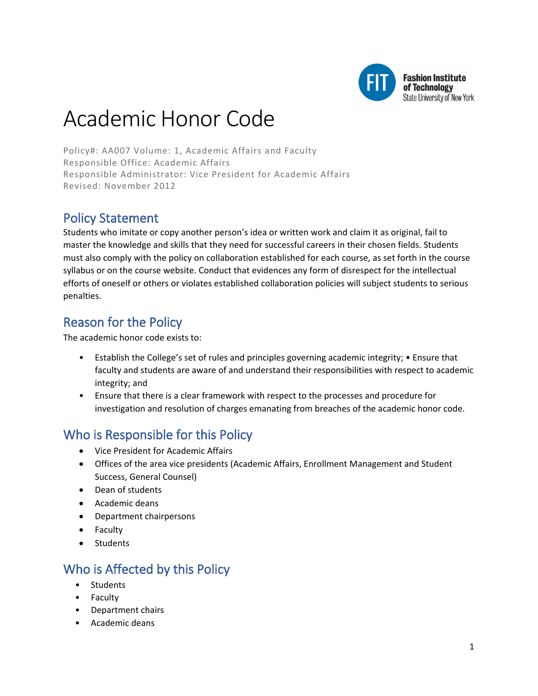

**Fashion Institute** of Technology State University of New York

# Academic Honor Code

Policy#: AA007 Volume: 1, Academic Affairs and Faculty Responsible Office: Academic Affairs Responsible Administrator: Vice President for Academic Affairs Revised: November 2012

# Policy Statement

Students who imitate or copy another person's idea or written work and claim it as original, fail to master the knowledge and skills that they need for successful careers in their chosen fields. Students must also comply with the policy on collaboration established for each course, as set forth in the course syllabus or on the course website. Conduct that evidences any form of disrespect for the intellectual efforts of oneself or others or violates established collaboration policies will subject students to serious penalties.

# Reason for the Policy

The academic honor code exists to:

- Establish the College's set of rules and principles governing academic integrity; Ensure that faculty and students are aware of and understand their responsibilities with respect to academic integrity; and
- Ensure that there is a clear framework with respect to the processes and procedure for investigation and resolution of charges emanating from breaches of the academic honor code.

# Who is Responsible for this Policy

- Vice President for Academic Affairs
- Offices of the area vice presidents (Academic Affairs, Enrollment Management and Student Success, General Counsel)
- Dean of students
- Academic deans
- Department chairpersons
- Faculty
- Students

# Who is Affected by this Policy

- **Students**
- **Faculty**
- Department chairs
- Academic deans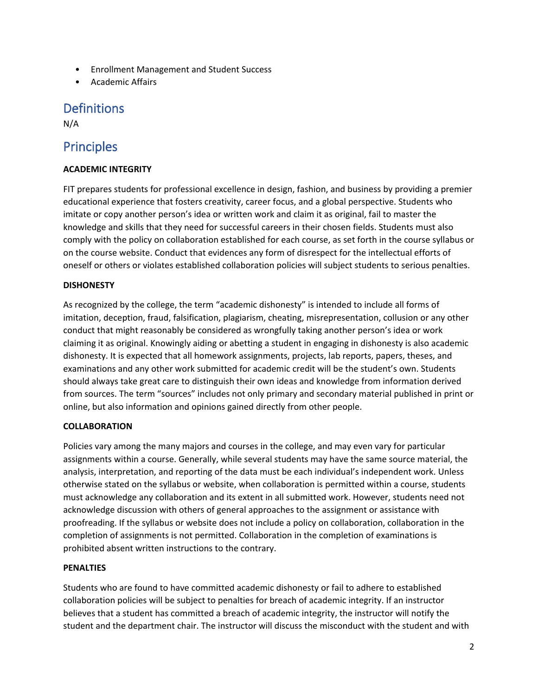- Enrollment Management and Student Success
- Academic Affairs

## **Definitions**

N/A

## Principles

## **ACADEMIC INTEGRITY**

FIT prepares students for professional excellence in design, fashion, and business by providing a premier educational experience that fosters creativity, career focus, and a global perspective. Students who imitate or copy another person's idea or written work and claim it as original, fail to master the knowledge and skills that they need for successful careers in their chosen fields. Students must also comply with the policy on collaboration established for each course, as set forth in the course syllabus or on the course website. Conduct that evidences any form of disrespect for the intellectual efforts of oneself or others or violates established collaboration policies will subject students to serious penalties.

### **DISHONESTY**

As recognized by the college, the term "academic dishonesty" is intended to include all forms of imitation, deception, fraud, falsification, plagiarism, cheating, misrepresentation, collusion or any other conduct that might reasonably be considered as wrongfully taking another person's idea or work claiming it as original. Knowingly aiding or abetting a student in engaging in dishonesty is also academic dishonesty. It is expected that all homework assignments, projects, lab reports, papers, theses, and examinations and any other work submitted for academic credit will be the student's own. Students should always take great care to distinguish their own ideas and knowledge from information derived from sources. The term "sources" includes not only primary and secondary material published in print or online, but also information and opinions gained directly from other people.

### **COLLABORATION**

Policies vary among the many majors and courses in the college, and may even vary for particular assignments within a course. Generally, while several students may have the same source material, the analysis, interpretation, and reporting of the data must be each individual's independent work. Unless otherwise stated on the syllabus or website, when collaboration is permitted within a course, students must acknowledge any collaboration and its extent in all submitted work. However, students need not acknowledge discussion with others of general approaches to the assignment or assistance with proofreading. If the syllabus or website does not include a policy on collaboration, collaboration in the completion of assignments is not permitted. Collaboration in the completion of examinations is prohibited absent written instructions to the contrary.

#### **PENALTIES**

Students who are found to have committed academic dishonesty or fail to adhere to established collaboration policies will be subject to penalties for breach of academic integrity. If an instructor believes that a student has committed a breach of academic integrity, the instructor will notify the student and the department chair. The instructor will discuss the misconduct with the student and with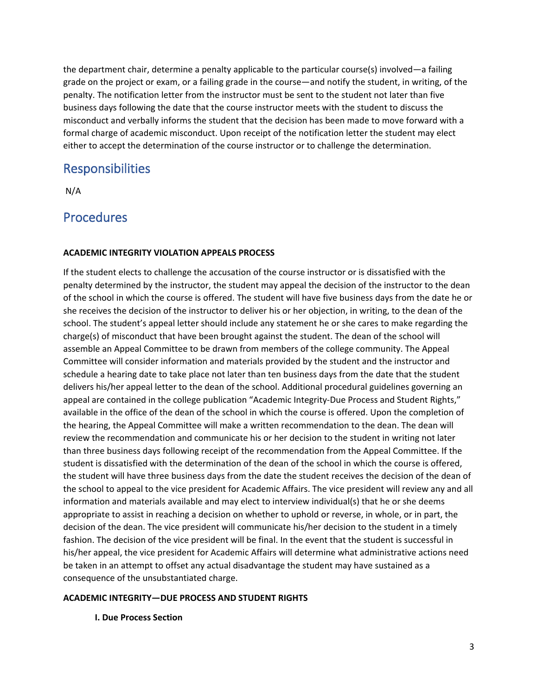the department chair, determine a penalty applicable to the particular course(s) involved—a failing grade on the project or exam, or a failing grade in the course—and notify the student, in writing, of the penalty. The notification letter from the instructor must be sent to the student not later than five business days following the date that the course instructor meets with the student to discuss the misconduct and verbally informs the student that the decision has been made to move forward with a formal charge of academic misconduct. Upon receipt of the notification letter the student may elect either to accept the determination of the course instructor or to challenge the determination.

## **Responsibilities**

N/A

## **Procedures**

### **ACADEMIC INTEGRITY VIOLATION APPEALS PROCESS**

If the student elects to challenge the accusation of the course instructor or is dissatisfied with the penalty determined by the instructor, the student may appeal the decision of the instructor to the dean of the school in which the course is offered. The student will have five business days from the date he or she receives the decision of the instructor to deliver his or her objection, in writing, to the dean of the school. The student's appeal letter should include any statement he or she cares to make regarding the charge(s) of misconduct that have been brought against the student. The dean of the school will assemble an Appeal Committee to be drawn from members of the college community. The Appeal Committee will consider information and materials provided by the student and the instructor and schedule a hearing date to take place not later than ten business days from the date that the student delivers his/her appeal letter to the dean of the school. Additional procedural guidelines governing an appeal are contained in the college publication "Academic Integrity-Due Process and Student Rights," available in the office of the dean of the school in which the course is offered. Upon the completion of the hearing, the Appeal Committee will make a written recommendation to the dean. The dean will review the recommendation and communicate his or her decision to the student in writing not later than three business days following receipt of the recommendation from the Appeal Committee. If the student is dissatisfied with the determination of the dean of the school in which the course is offered, the student will have three business days from the date the student receives the decision of the dean of the school to appeal to the vice president for Academic Affairs. The vice president will review any and all information and materials available and may elect to interview individual(s) that he or she deems appropriate to assist in reaching a decision on whether to uphold or reverse, in whole, or in part, the decision of the dean. The vice president will communicate his/her decision to the student in a timely fashion. The decision of the vice president will be final. In the event that the student is successful in his/her appeal, the vice president for Academic Affairs will determine what administrative actions need be taken in an attempt to offset any actual disadvantage the student may have sustained as a consequence of the unsubstantiated charge.

#### **ACADEMIC INTEGRITY—DUE PROCESS AND STUDENT RIGHTS**

### **I. Due Process Section**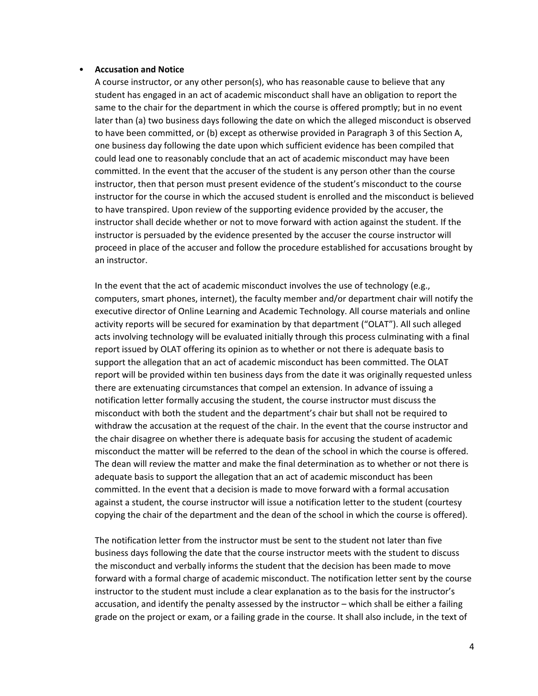#### • **Accusation and Notice**

A course instructor, or any other person(s), who has reasonable cause to believe that any student has engaged in an act of academic misconduct shall have an obligation to report the same to the chair for the department in which the course is offered promptly; but in no event later than (a) two business days following the date on which the alleged misconduct is observed to have been committed, or (b) except as otherwise provided in Paragraph 3 of this Section A, one business day following the date upon which sufficient evidence has been compiled that could lead one to reasonably conclude that an act of academic misconduct may have been committed. In the event that the accuser of the student is any person other than the course instructor, then that person must present evidence of the student's misconduct to the course instructor for the course in which the accused student is enrolled and the misconduct is believed to have transpired. Upon review of the supporting evidence provided by the accuser, the instructor shall decide whether or not to move forward with action against the student. If the instructor is persuaded by the evidence presented by the accuser the course instructor will proceed in place of the accuser and follow the procedure established for accusations brought by an instructor.

In the event that the act of academic misconduct involves the use of technology (e.g., computers, smart phones, internet), the faculty member and/or department chair will notify the executive director of Online Learning and Academic Technology. All course materials and online activity reports will be secured for examination by that department ("OLAT"). All such alleged acts involving technology will be evaluated initially through this process culminating with a final report issued by OLAT offering its opinion as to whether or not there is adequate basis to support the allegation that an act of academic misconduct has been committed. The OLAT report will be provided within ten business days from the date it was originally requested unless there are extenuating circumstances that compel an extension. In advance of issuing a notification letter formally accusing the student, the course instructor must discuss the misconduct with both the student and the department's chair but shall not be required to withdraw the accusation at the request of the chair. In the event that the course instructor and the chair disagree on whether there is adequate basis for accusing the student of academic misconduct the matter will be referred to the dean of the school in which the course is offered. The dean will review the matter and make the final determination as to whether or not there is adequate basis to support the allegation that an act of academic misconduct has been committed. In the event that a decision is made to move forward with a formal accusation against a student, the course instructor will issue a notification letter to the student (courtesy copying the chair of the department and the dean of the school in which the course is offered).

The notification letter from the instructor must be sent to the student not later than five business days following the date that the course instructor meets with the student to discuss the misconduct and verbally informs the student that the decision has been made to move forward with a formal charge of academic misconduct. The notification letter sent by the course instructor to the student must include a clear explanation as to the basis for the instructor's accusation, and identify the penalty assessed by the instructor – which shall be either a failing grade on the project or exam, or a failing grade in the course. It shall also include, in the text of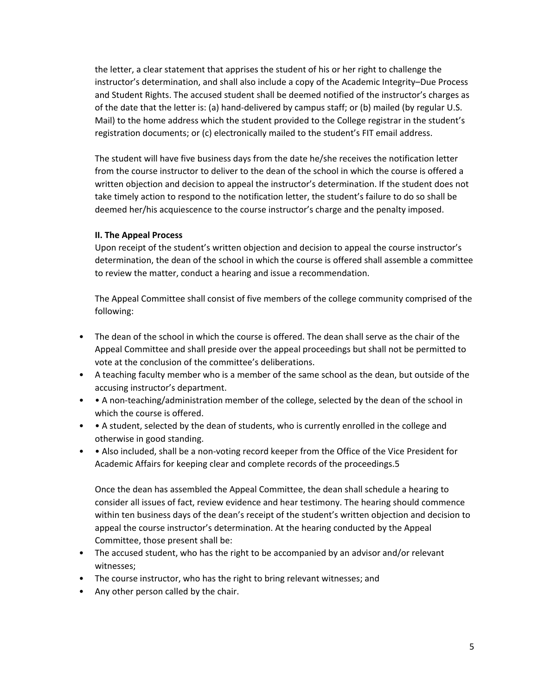the letter, a clear statement that apprises the student of his or her right to challenge the instructor's determination, and shall also include a copy of the Academic Integrity–Due Process and Student Rights. The accused student shall be deemed notified of the instructor's charges as of the date that the letter is: (a) hand-delivered by campus staff; or (b) mailed (by regular U.S. Mail) to the home address which the student provided to the College registrar in the student's registration documents; or (c) electronically mailed to the student's FIT email address.

The student will have five business days from the date he/she receives the notification letter from the course instructor to deliver to the dean of the school in which the course is offered a written objection and decision to appeal the instructor's determination. If the student does not take timely action to respond to the notification letter, the student's failure to do so shall be deemed her/his acquiescence to the course instructor's charge and the penalty imposed.

#### **II. The Appeal Process**

Upon receipt of the student's written objection and decision to appeal the course instructor's determination, the dean of the school in which the course is offered shall assemble a committee to review the matter, conduct a hearing and issue a recommendation.

The Appeal Committee shall consist of five members of the college community comprised of the following:

- The dean of the school in which the course is offered. The dean shall serve as the chair of the Appeal Committee and shall preside over the appeal proceedings but shall not be permitted to vote at the conclusion of the committee's deliberations.
- A teaching faculty member who is a member of the same school as the dean, but outside of the accusing instructor's department.
- • A non-teaching/administration member of the college, selected by the dean of the school in which the course is offered.
- A student, selected by the dean of students, who is currently enrolled in the college and otherwise in good standing.
- • Also included, shall be a non-voting record keeper from the Office of the Vice President for Academic Affairs for keeping clear and complete records of the proceedings.5

Once the dean has assembled the Appeal Committee, the dean shall schedule a hearing to consider all issues of fact, review evidence and hear testimony. The hearing should commence within ten business days of the dean's receipt of the student's written objection and decision to appeal the course instructor's determination. At the hearing conducted by the Appeal Committee, those present shall be:

- The accused student, who has the right to be accompanied by an advisor and/or relevant witnesses;
- The course instructor, who has the right to bring relevant witnesses; and
- Any other person called by the chair.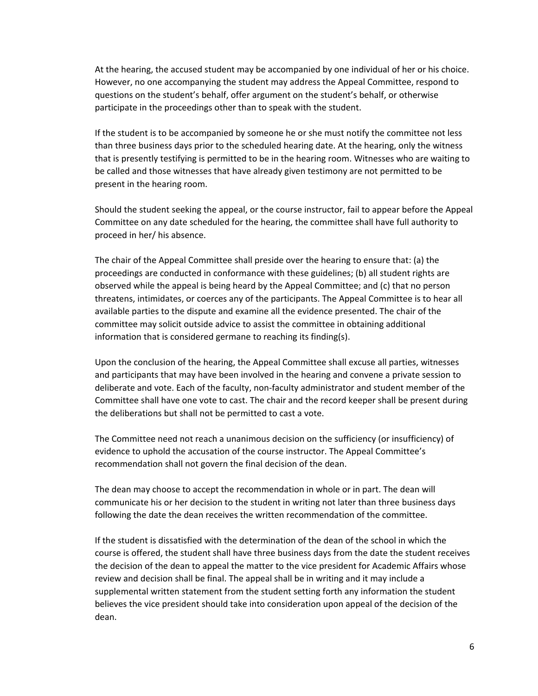At the hearing, the accused student may be accompanied by one individual of her or his choice. However, no one accompanying the student may address the Appeal Committee, respond to questions on the student's behalf, offer argument on the student's behalf, or otherwise participate in the proceedings other than to speak with the student.

If the student is to be accompanied by someone he or she must notify the committee not less than three business days prior to the scheduled hearing date. At the hearing, only the witness that is presently testifying is permitted to be in the hearing room. Witnesses who are waiting to be called and those witnesses that have already given testimony are not permitted to be present in the hearing room.

Should the student seeking the appeal, or the course instructor, fail to appear before the Appeal Committee on any date scheduled for the hearing, the committee shall have full authority to proceed in her/ his absence.

The chair of the Appeal Committee shall preside over the hearing to ensure that: (a) the proceedings are conducted in conformance with these guidelines; (b) all student rights are observed while the appeal is being heard by the Appeal Committee; and (c) that no person threatens, intimidates, or coerces any of the participants. The Appeal Committee is to hear all available parties to the dispute and examine all the evidence presented. The chair of the committee may solicit outside advice to assist the committee in obtaining additional information that is considered germane to reaching its finding(s).

Upon the conclusion of the hearing, the Appeal Committee shall excuse all parties, witnesses and participants that may have been involved in the hearing and convene a private session to deliberate and vote. Each of the faculty, non-faculty administrator and student member of the Committee shall have one vote to cast. The chair and the record keeper shall be present during the deliberations but shall not be permitted to cast a vote.

The Committee need not reach a unanimous decision on the sufficiency (or insufficiency) of evidence to uphold the accusation of the course instructor. The Appeal Committee's recommendation shall not govern the final decision of the dean.

The dean may choose to accept the recommendation in whole or in part. The dean will communicate his or her decision to the student in writing not later than three business days following the date the dean receives the written recommendation of the committee.

If the student is dissatisfied with the determination of the dean of the school in which the course is offered, the student shall have three business days from the date the student receives the decision of the dean to appeal the matter to the vice president for Academic Affairs whose review and decision shall be final. The appeal shall be in writing and it may include a supplemental written statement from the student setting forth any information the student believes the vice president should take into consideration upon appeal of the decision of the dean.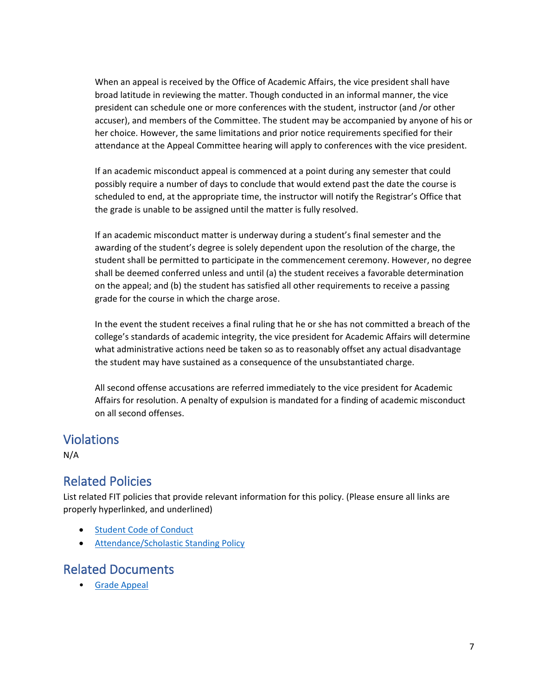When an appeal is received by the Office of Academic Affairs, the vice president shall have broad latitude in reviewing the matter. Though conducted in an informal manner, the vice president can schedule one or more conferences with the student, instructor (and /or other accuser), and members of the Committee. The student may be accompanied by anyone of his or her choice. However, the same limitations and prior notice requirements specified for their attendance at the Appeal Committee hearing will apply to conferences with the vice president.

If an academic misconduct appeal is commenced at a point during any semester that could possibly require a number of days to conclude that would extend past the date the course is scheduled to end, at the appropriate time, the instructor will notify the Registrar's Office that the grade is unable to be assigned until the matter is fully resolved.

If an academic misconduct matter is underway during a student's final semester and the awarding of the student's degree is solely dependent upon the resolution of the charge, the student shall be permitted to participate in the commencement ceremony. However, no degree shall be deemed conferred unless and until (a) the student receives a favorable determination on the appeal; and (b) the student has satisfied all other requirements to receive a passing grade for the course in which the charge arose.

In the event the student receives a final ruling that he or she has not committed a breach of the college's standards of academic integrity, the vice president for Academic Affairs will determine what administrative actions need be taken so as to reasonably offset any actual disadvantage the student may have sustained as a consequence of the unsubstantiated charge.

All second offense accusations are referred immediately to the vice president for Academic Affairs for resolution. A penalty of expulsion is mandated for a finding of academic misconduct on all second offenses.

## Violations

N/A

## Related Policies

List related FIT policies that provide relevant information for this policy. (Please ensure all links are properly hyperlinked, and underlined)

- [Student Code of Conduct](https://www.fitnyc.edu/about/policies/enrollment-management/code-of-conduct.php)
- [Attendance/Scholastic Standing Policy](https://catalog.fitnyc.edu/graduate/academic-programs/scholastic-standing/)

## Related Documents

• [Grade Appeal](https://www.fitnyc.edu/about/policies/academic-affairs/grading.php)